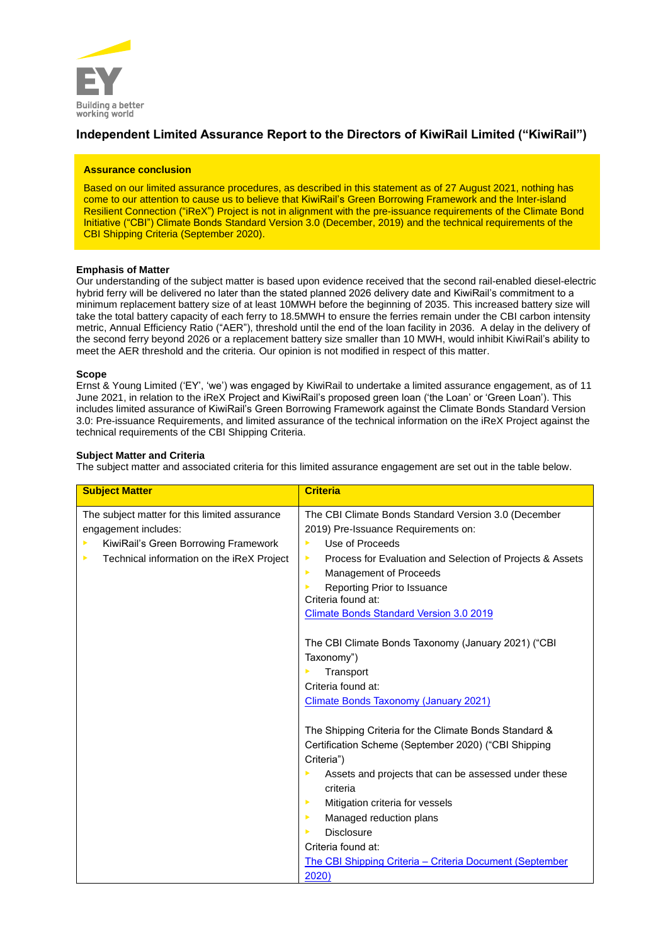

# **Independent Limited Assurance Report to the Directors of KiwiRail Limited ("KiwiRail")**

### **Assurance conclusion**

Based on our limited assurance procedures, as described in this statement as of 27 August 2021, nothing has come to our attention to cause us to believe that KiwiRail's Green Borrowing Framework and the Inter-island Resilient Connection ("iReX") Project is not in alignment with the pre-issuance requirements of the Climate Bond Initiative ("CBI") Climate Bonds Standard Version 3.0 (December, 2019) and the technical requirements of the CBI Shipping Criteria (September 2020).

# **Emphasis of Matter**

Our understanding of the subject matter is based upon evidence received that the second rail-enabled diesel-electric hybrid ferry will be delivered no later than the stated planned 2026 delivery date and KiwiRail's commitment to a minimum replacement battery size of at least 10MWH before the beginning of 2035. This increased battery size will take the total battery capacity of each ferry to 18.5MWH to ensure the ferries remain under the CBI carbon intensity metric, Annual Efficiency Ratio ("AER"), threshold until the end of the loan facility in 2036. A delay in the delivery of the second ferry beyond 2026 or a replacement battery size smaller than 10 MWH, would inhibit KiwiRail's ability to meet the AER threshold and the criteria. Our opinion is not modified in respect of this matter.

# **Scope**

Ernst & Young Limited ('EY', 'we') was engaged by KiwiRail to undertake a limited assurance engagement, as of 11 June 2021, in relation to the iReX Project and KiwiRail's proposed green loan ('the Loan' or 'Green Loan'). This includes limited assurance of KiwiRail's Green Borrowing Framework against the Climate Bonds Standard Version 3.0: Pre-issuance Requirements, and limited assurance of the technical information on the iReX Project against the technical requirements of the CBI Shipping Criteria.

# **Subject Matter and Criteria**

The subject matter and associated criteria for this limited assurance engagement are set out in the table below.

| <b>Subject Matter</b>                                                                                                                                           | <b>Criteria</b>                                                                                                                                                                                                                                                                                                                                                                          |
|-----------------------------------------------------------------------------------------------------------------------------------------------------------------|------------------------------------------------------------------------------------------------------------------------------------------------------------------------------------------------------------------------------------------------------------------------------------------------------------------------------------------------------------------------------------------|
| The subject matter for this limited assurance<br>engagement includes:<br>KiwiRail's Green Borrowing Framework<br>Technical information on the iReX Project<br>▶ | The CBI Climate Bonds Standard Version 3.0 (December<br>2019) Pre-Issuance Requirements on:<br>Use of Proceeds<br>×<br>Process for Evaluation and Selection of Projects & Assets<br>▶<br>Management of Proceeds<br>▶<br>Reporting Prior to Issuance<br>Criteria found at:<br><b>Climate Bonds Standard Version 3.0 2019</b>                                                              |
|                                                                                                                                                                 | The CBI Climate Bonds Taxonomy (January 2021) ("CBI<br>Taxonomy")<br>Transport<br>Criteria found at:<br><b>Climate Bonds Taxonomy (January 2021)</b>                                                                                                                                                                                                                                     |
|                                                                                                                                                                 | The Shipping Criteria for the Climate Bonds Standard &<br>Certification Scheme (September 2020) ("CBI Shipping<br>Criteria")<br>Assets and projects that can be assessed under these<br>criteria<br>Mitigation criteria for vessels<br>▶<br>Managed reduction plans<br>▶<br><b>Disclosure</b><br>Criteria found at:<br>The CBI Shipping Criteria - Criteria Document (September<br>2020) |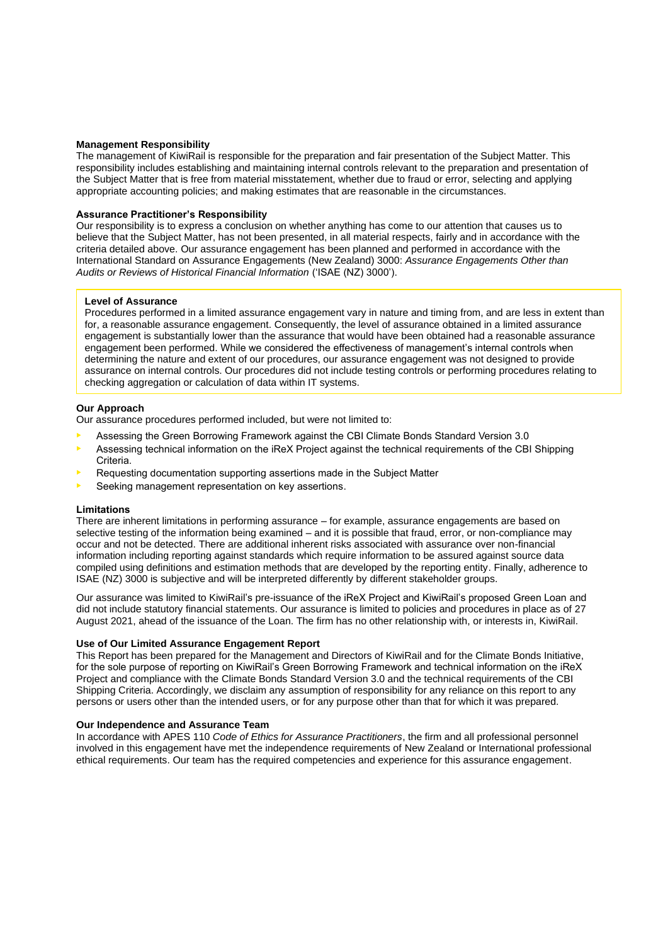### **Management Responsibility**

The management of KiwiRail is responsible for the preparation and fair presentation of the Subject Matter. This responsibility includes establishing and maintaining internal controls relevant to the preparation and presentation of the Subject Matter that is free from material misstatement, whether due to fraud or error, selecting and applying appropriate accounting policies; and making estimates that are reasonable in the circumstances.

### **Assurance Practitioner's Responsibility**

Our responsibility is to express a conclusion on whether anything has come to our attention that causes us to believe that the Subject Matter, has not been presented, in all material respects, fairly and in accordance with the criteria detailed above. Our assurance engagement has been planned and performed in accordance with the International Standard on Assurance Engagements (New Zealand) 3000: *Assurance Engagements Other than Audits or Reviews of Historical Financial Information* ('ISAE (NZ) 3000').

#### **Level of Assurance**

Procedures performed in a limited assurance engagement vary in nature and timing from, and are less in extent than for, a reasonable assurance engagement. Consequently, the level of assurance obtained in a limited assurance engagement is substantially lower than the assurance that would have been obtained had a reasonable assurance engagement been performed. While we considered the effectiveness of management's internal controls when determining the nature and extent of our procedures, our assurance engagement was not designed to provide assurance on internal controls. Our procedures did not include testing controls or performing procedures relating to checking aggregation or calculation of data within IT systems.

#### **Our Approach**

Our assurance procedures performed included, but were not limited to:

- Assessing the Green Borrowing Framework against the CBI Climate Bonds Standard Version 3.0
- Assessing technical information on the iReX Project against the technical requirements of the CBI Shipping Criteria.
- Requesting documentation supporting assertions made in the Subject Matter
- Seeking management representation on key assertions.

#### **Limitations**

There are inherent limitations in performing assurance – for example, assurance engagements are based on selective testing of the information being examined – and it is possible that fraud, error, or non-compliance may occur and not be detected. There are additional inherent risks associated with assurance over non-financial information including reporting against standards which require information to be assured against source data compiled using definitions and estimation methods that are developed by the reporting entity. Finally, adherence to ISAE (NZ) 3000 is subjective and will be interpreted differently by different stakeholder groups.

Our assurance was limited to KiwiRail's pre-issuance of the iReX Project and KiwiRail's proposed Green Loan and did not include statutory financial statements. Our assurance is limited to policies and procedures in place as of 27 August 2021, ahead of the issuance of the Loan. The firm has no other relationship with, or interests in, KiwiRail.

### **Use of Our Limited Assurance Engagement Report**

This Report has been prepared for the Management and Directors of KiwiRail and for the Climate Bonds Initiative, for the sole purpose of reporting on KiwiRail's Green Borrowing Framework and technical information on the iReX Project and compliance with the Climate Bonds Standard Version 3.0 and the technical requirements of the CBI Shipping Criteria. Accordingly, we disclaim any assumption of responsibility for any reliance on this report to any persons or users other than the intended users, or for any purpose other than that for which it was prepared.

#### **Our Independence and Assurance Team**

In accordance with APES 110 *Code of Ethics for Assurance Practitioners*, the firm and all professional personnel involved in this engagement have met the independence requirements of New Zealand or International professional ethical requirements. Our team has the required competencies and experience for this assurance engagement.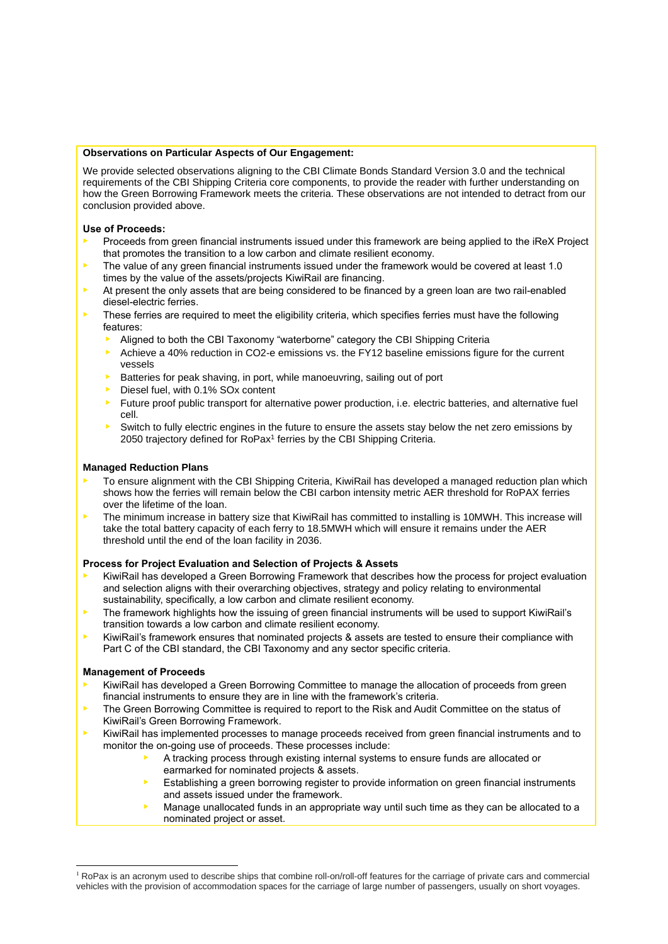# **Observations on Particular Aspects of Our Engagement:**

We provide selected observations aligning to the CBI Climate Bonds Standard Version 3.0 and the technical requirements of the CBI Shipping Criteria core components, to provide the reader with further understanding on how the Green Borrowing Framework meets the criteria. These observations are not intended to detract from our conclusion provided above.

# **Use of Proceeds:**

- Proceeds from green financial instruments issued under this framework are being applied to the iReX Project that promotes the transition to a low carbon and climate resilient economy.
- $\blacktriangleright$  The value of any green financial instruments issued under the framework would be covered at least 1.0 times by the value of the assets/projects KiwiRail are financing.
- At present the only assets that are being considered to be financed by a green loan are two rail-enabled diesel-electric ferries.
- $\blacktriangleright$  These ferries are required to meet the eligibility criteria, which specifies ferries must have the following features:
	- Aligned to both the CBI Taxonomy "waterborne" category the CBI Shipping Criteria
	- $\blacktriangleright$  Achieve a 40% reduction in CO2-e emissions vs. the FY12 baseline emissions figure for the current vessels
	- Batteries for peak shaving, in port, while manoeuvring, sailing out of port
	- **•** Diesel fuel, with 0.1% SOx content
	- Future proof public transport for alternative power production, i.e. electric batteries, and alternative fuel cell.
	- Switch to fully electric engines in the future to ensure the assets stay below the net zero emissions by 2050 trajectory defined for RoPax<sup>1</sup> ferries by the CBI Shipping Criteria.

### **Managed Reduction Plans**

- To ensure alignment with the CBI Shipping Criteria, KiwiRail has developed a managed reduction plan which shows how the ferries will remain below the CBI carbon intensity metric AER threshold for RoPAX ferries over the lifetime of the loan.
- The minimum increase in battery size that KiwiRail has committed to installing is 10MWH. This increase will take the total battery capacity of each ferry to 18.5MWH which will ensure it remains under the AER threshold until the end of the loan facility in 2036.

# **Process for Project Evaluation and Selection of Projects & Assets**

- KiwiRail has developed a Green Borrowing Framework that describes how the process for project evaluation and selection aligns with their overarching objectives, strategy and policy relating to environmental sustainability, specifically, a low carbon and climate resilient economy.
- The framework highlights how the issuing of green financial instruments will be used to support KiwiRail's transition towards a low carbon and climate resilient economy.
- KiwiRail's framework ensures that nominated projects & assets are tested to ensure their compliance with Part C of the CBI standard, the CBI Taxonomy and any sector specific criteria.

### **Management of Proceeds**

- KiwiRail has developed a Green Borrowing Committee to manage the allocation of proceeds from green financial instruments to ensure they are in line with the framework's criteria.
- The Green Borrowing Committee is required to report to the Risk and Audit Committee on the status of KiwiRail's Green Borrowing Framework.
- KiwiRail has implemented processes to manage proceeds received from green financial instruments and to monitor the on-going use of proceeds. These processes include:
	- A tracking process through existing internal systems to ensure funds are allocated or earmarked for nominated projects & assets.
	- Establishing a green borrowing register to provide information on green financial instruments and assets issued under the framework.
	- Manage unallocated funds in an appropriate way until such time as they can be allocated to a nominated project or asset.

<sup>&</sup>lt;sup>1</sup> RoPax is an acronym used to describe ships that combine roll-on/roll-off features for the carriage of private cars and commercial vehicles with the provision of accommodation spaces for the carriage of large number of passengers, usually on short voyages.